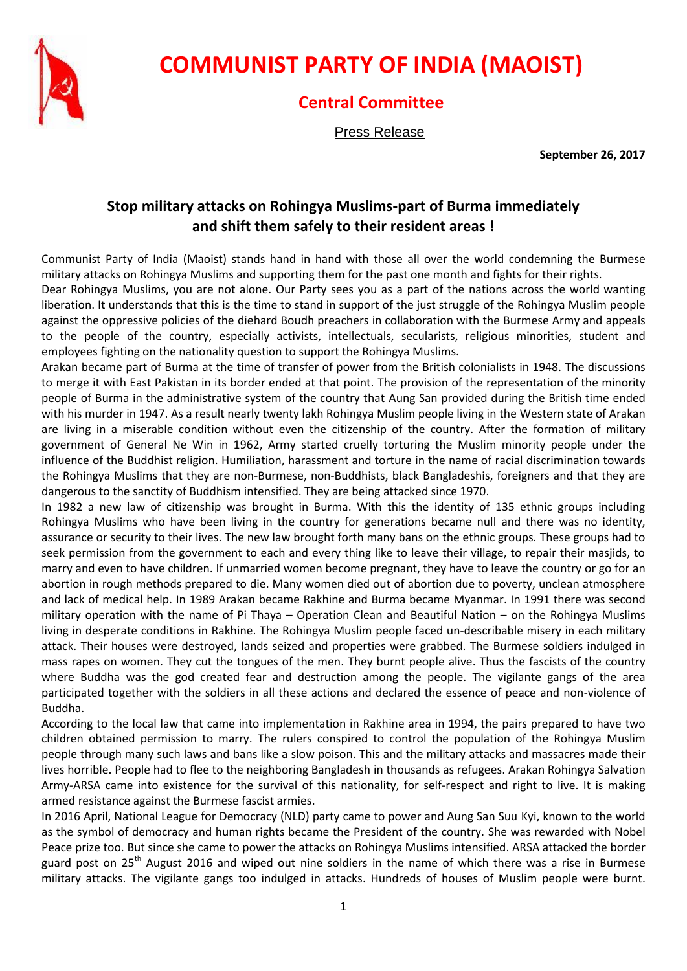

## **COMMUNIST PARTY OF INDIA (MAOIST)**

## **Central Committee**

Press Release

**September 26, 2017**

## **Stop military attacks on Rohingya Muslims-part of Burma immediately and shift them safely to their resident areas !**

Communist Party of India (Maoist) stands hand in hand with those all over the world condemning the Burmese military attacks on Rohingya Muslims and supporting them for the past one month and fights for their rights.

Dear Rohingya Muslims, you are not alone. Our Party sees you as a part of the nations across the world wanting liberation. It understands that this is the time to stand in support of the just struggle of the Rohingya Muslim people against the oppressive policies of the diehard Boudh preachers in collaboration with the Burmese Army and appeals to the people of the country, especially activists, intellectuals, secularists, religious minorities, student and employees fighting on the nationality question to support the Rohingya Muslims.

Arakan became part of Burma at the time of transfer of power from the British colonialists in 1948. The discussions to merge it with East Pakistan in its border ended at that point. The provision of the representation of the minority people of Burma in the administrative system of the country that Aung San provided during the British time ended with his murder in 1947. As a result nearly twenty lakh Rohingya Muslim people living in the Western state of Arakan are living in a miserable condition without even the citizenship of the country. After the formation of military government of General Ne Win in 1962, Army started cruelly torturing the Muslim minority people under the influence of the Buddhist religion. Humiliation, harassment and torture in the name of racial discrimination towards the Rohingya Muslims that they are non-Burmese, non-Buddhists, black Bangladeshis, foreigners and that they are dangerous to the sanctity of Buddhism intensified. They are being attacked since 1970.

In 1982 a new law of citizenship was brought in Burma. With this the identity of 135 ethnic groups including Rohingya Muslims who have been living in the country for generations became null and there was no identity, assurance or security to their lives. The new law brought forth many bans on the ethnic groups. These groups had to seek permission from the government to each and every thing like to leave their village, to repair their masjids, to marry and even to have children. If unmarried women become pregnant, they have to leave the country or go for an abortion in rough methods prepared to die. Many women died out of abortion due to poverty, unclean atmosphere and lack of medical help. In 1989 Arakan became Rakhine and Burma became Myanmar. In 1991 there was second military operation with the name of Pi Thaya – Operation Clean and Beautiful Nation – on the Rohingya Muslims living in desperate conditions in Rakhine. The Rohingya Muslim people faced un-describable misery in each military attack. Their houses were destroyed, lands seized and properties were grabbed. The Burmese soldiers indulged in mass rapes on women. They cut the tongues of the men. They burnt people alive. Thus the fascists of the country where Buddha was the god created fear and destruction among the people. The vigilante gangs of the area participated together with the soldiers in all these actions and declared the essence of peace and non-violence of Buddha.

According to the local law that came into implementation in Rakhine area in 1994, the pairs prepared to have two children obtained permission to marry. The rulers conspired to control the population of the Rohingya Muslim people through many such laws and bans like a slow poison. This and the military attacks and massacres made their lives horrible. People had to flee to the neighboring Bangladesh in thousands as refugees. Arakan Rohingya Salvation Army-ARSA came into existence for the survival of this nationality, for self-respect and right to live. It is making armed resistance against the Burmese fascist armies.

In 2016 April, National League for Democracy (NLD) party came to power and Aung San Suu Kyi, known to the world as the symbol of democracy and human rights became the President of the country. She was rewarded with Nobel Peace prize too. But since she came to power the attacks on Rohingya Muslims intensified. ARSA attacked the border guard post on 25<sup>th</sup> August 2016 and wiped out nine soldiers in the name of which there was a rise in Burmese military attacks. The vigilante gangs too indulged in attacks. Hundreds of houses of Muslim people were burnt.